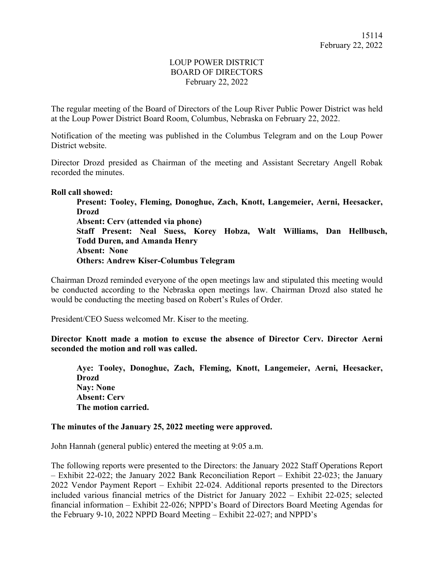# LOUP POWER DISTRICT BOARD OF DIRECTORS February 22, 2022

The regular meeting of the Board of Directors of the Loup River Public Power District was held at the Loup Power District Board Room, Columbus, Nebraska on February 22, 2022.

Notification of the meeting was published in the Columbus Telegram and on the Loup Power District website.

Director Drozd presided as Chairman of the meeting and Assistant Secretary Angell Robak recorded the minutes.

### **Roll call showed:**

**Present: Tooley, Fleming, Donoghue, Zach, Knott, Langemeier, Aerni, Heesacker, Drozd Absent: Cerv (attended via phone) Staff Present: Neal Suess, Korey Hobza, Walt Williams, Dan Hellbusch, Todd Duren, and Amanda Henry Absent: None Others: Andrew Kiser-Columbus Telegram** 

Chairman Drozd reminded everyone of the open meetings law and stipulated this meeting would be conducted according to the Nebraska open meetings law. Chairman Drozd also stated he would be conducting the meeting based on Robert's Rules of Order.

President/CEO Suess welcomed Mr. Kiser to the meeting.

**Director Knott made a motion to excuse the absence of Director Cerv. Director Aerni seconded the motion and roll was called.** 

**Aye: Tooley, Donoghue, Zach, Fleming, Knott, Langemeier, Aerni, Heesacker, Drozd Nay: None Absent: Cerv The motion carried.** 

### **The minutes of the January 25, 2022 meeting were approved.**

John Hannah (general public) entered the meeting at 9:05 a.m.

The following reports were presented to the Directors: the January 2022 Staff Operations Report – Exhibit 22-022; the January 2022 Bank Reconciliation Report – Exhibit 22-023; the January 2022 Vendor Payment Report – Exhibit 22-024. Additional reports presented to the Directors included various financial metrics of the District for January 2022 – Exhibit 22-025; selected financial information – Exhibit 22-026; NPPD's Board of Directors Board Meeting Agendas for the February 9-10, 2022 NPPD Board Meeting – Exhibit 22-027; and NPPD's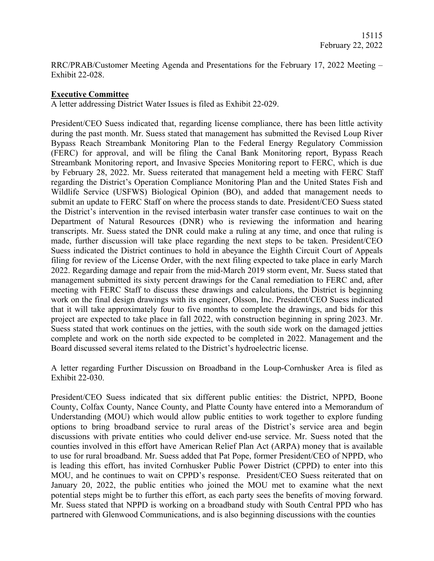RRC/PRAB/Customer Meeting Agenda and Presentations for the February 17, 2022 Meeting – Exhibit 22-028.

### **Executive Committee**

A letter addressing District Water Issues is filed as Exhibit 22-029.

President/CEO Suess indicated that, regarding license compliance, there has been little activity during the past month. Mr. Suess stated that management has submitted the Revised Loup River Bypass Reach Streambank Monitoring Plan to the Federal Energy Regulatory Commission (FERC) for approval, and will be filing the Canal Bank Monitoring report, Bypass Reach Streambank Monitoring report, and Invasive Species Monitoring report to FERC, which is due by February 28, 2022. Mr. Suess reiterated that management held a meeting with FERC Staff regarding the District's Operation Compliance Monitoring Plan and the United States Fish and Wildlife Service (USFWS) Biological Opinion (BO), and added that management needs to submit an update to FERC Staff on where the process stands to date. President/CEO Suess stated the District's intervention in the revised interbasin water transfer case continues to wait on the Department of Natural Resources (DNR) who is reviewing the information and hearing transcripts. Mr. Suess stated the DNR could make a ruling at any time, and once that ruling is made, further discussion will take place regarding the next steps to be taken. President/CEO Suess indicated the District continues to hold in abeyance the Eighth Circuit Court of Appeals filing for review of the License Order, with the next filing expected to take place in early March 2022. Regarding damage and repair from the mid-March 2019 storm event, Mr. Suess stated that management submitted its sixty percent drawings for the Canal remediation to FERC and, after meeting with FERC Staff to discuss these drawings and calculations, the District is beginning work on the final design drawings with its engineer, Olsson, Inc. President/CEO Suess indicated that it will take approximately four to five months to complete the drawings, and bids for this project are expected to take place in fall 2022, with construction beginning in spring 2023. Mr. Suess stated that work continues on the jetties, with the south side work on the damaged jetties complete and work on the north side expected to be completed in 2022. Management and the Board discussed several items related to the District's hydroelectric license.

A letter regarding Further Discussion on Broadband in the Loup-Cornhusker Area is filed as Exhibit 22-030.

President/CEO Suess indicated that six different public entities: the District, NPPD, Boone County, Colfax County, Nance County, and Platte County have entered into a Memorandum of Understanding (MOU) which would allow public entities to work together to explore funding options to bring broadband service to rural areas of the District's service area and begin discussions with private entities who could deliver end-use service. Mr. Suess noted that the counties involved in this effort have American Relief Plan Act (ARPA) money that is available to use for rural broadband. Mr. Suess added that Pat Pope, former President/CEO of NPPD, who is leading this effort, has invited Cornhusker Public Power District (CPPD) to enter into this MOU, and he continues to wait on CPPD's response. President/CEO Suess reiterated that on January 20, 2022, the public entities who joined the MOU met to examine what the next potential steps might be to further this effort, as each party sees the benefits of moving forward. Mr. Suess stated that NPPD is working on a broadband study with South Central PPD who has partnered with Glenwood Communications, and is also beginning discussions with the counties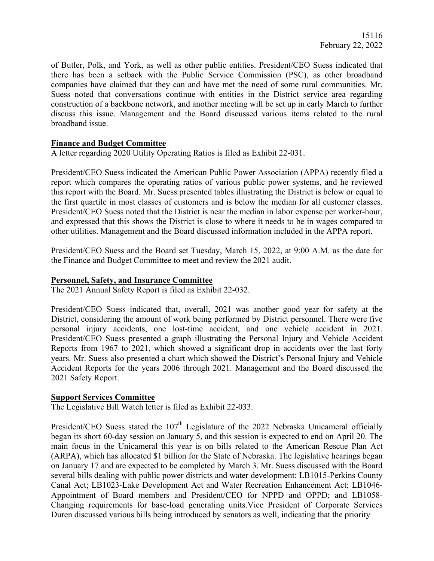of Butler, Polk, and York, as well as other public entities. President/CEO Suess indicated that there has been a setback with the Public Service Commission (PSC), as other broadband companies have claimed that they can and have met the need of some rural communities. Mr. Suess noted that conversations continue with entities in the District service area regarding construction of a backbone network, and another meeting will be set up in early March to further discuss this issue. Management and the Board discussed various items related to the rural broadband issue.

## **Finance and Budget Committee**

A letter regarding 2020 Utility Operating Ratios is filed as Exhibit 22-031.

President/CEO Suess indicated the American Public Power Association (APPA) recently filed a report which compares the operating ratios of various public power systems, and he reviewed this report with the Board. Mr. Suess presented tables illustrating the District is below or equal to the first quartile in most classes of customers and is below the median for all customer classes. President/CEO Suess noted that the District is near the median in labor expense per worker-hour, and expressed that this shows the District is close to where it needs to be in wages compared to other utilities. Management and the Board discussed information included in the APPA report.

President/CEO Suess and the Board set Tuesday, March 15, 2022, at 9:00 A.M. as the date for the Finance and Budget Committee to meet and review the 2021 audit.

### **Personnel, Safety, and Insurance Committee**

The 2021 Annual Safety Report is filed as Exhibit 22-032.

President/CEO Suess indicated that, overall, 2021 was another good year for safety at the District, considering the amount of work being performed by District personnel. There were five personal injury accidents, one lost-time accident, and one vehicle accident in 2021. President/CEO Suess presented a graph illustrating the Personal Injury and Vehicle Accident Reports from 1967 to 2021, which showed a significant drop in accidents over the last forty years. Mr. Suess also presented a chart which showed the District's Personal Injury and Vehicle Accident Reports for the years 2006 through 2021. Management and the Board discussed the 2021 Safety Report.

### **Support Services Committee**

The Legislative Bill Watch letter is filed as Exhibit 22-033.

President/CEO Suess stated the  $107<sup>th</sup>$  Legislature of the 2022 Nebraska Unicameral officially began its short 60-day session on January 5, and this session is expected to end on April 20. The main focus in the Unicameral this year is on bills related to the American Rescue Plan Act (ARPA), which has allocated \$1 billion for the State of Nebraska. The legislative hearings began on January 17 and are expected to be completed by March 3. Mr. Suess discussed with the Board several bills dealing with public power districts and water development: LB1015-Perkins County Canal Act; LB1023-Lake Development Act and Water Recreation Enhancement Act; LB1046- Appointment of Board members and President/CEO for NPPD and OPPD; and LB1058- Changing requirements for base-load generating units.Vice President of Corporate Services Duren discussed various bills being introduced by senators as well, indicating that the priority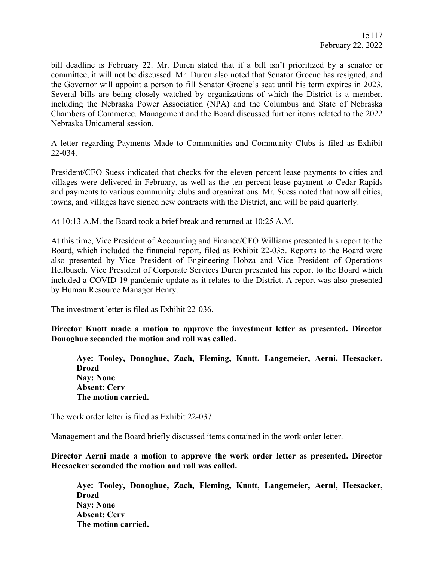bill deadline is February 22. Mr. Duren stated that if a bill isn't prioritized by a senator or committee, it will not be discussed. Mr. Duren also noted that Senator Groene has resigned, and the Governor will appoint a person to fill Senator Groene's seat until his term expires in 2023. Several bills are being closely watched by organizations of which the District is a member, including the Nebraska Power Association (NPA) and the Columbus and State of Nebraska Chambers of Commerce. Management and the Board discussed further items related to the 2022 Nebraska Unicameral session.

A letter regarding Payments Made to Communities and Community Clubs is filed as Exhibit 22-034.

President/CEO Suess indicated that checks for the eleven percent lease payments to cities and villages were delivered in February, as well as the ten percent lease payment to Cedar Rapids and payments to various community clubs and organizations. Mr. Suess noted that now all cities, towns, and villages have signed new contracts with the District, and will be paid quarterly.

At 10:13 A.M. the Board took a brief break and returned at 10:25 A.M.

At this time, Vice President of Accounting and Finance/CFO Williams presented his report to the Board, which included the financial report, filed as Exhibit 22-035. Reports to the Board were also presented by Vice President of Engineering Hobza and Vice President of Operations Hellbusch. Vice President of Corporate Services Duren presented his report to the Board which included a COVID-19 pandemic update as it relates to the District. A report was also presented by Human Resource Manager Henry.

The investment letter is filed as Exhibit 22-036.

**Director Knott made a motion to approve the investment letter as presented. Director Donoghue seconded the motion and roll was called.** 

**Aye: Tooley, Donoghue, Zach, Fleming, Knott, Langemeier, Aerni, Heesacker, Drozd Nay: None Absent: Cerv The motion carried.** 

The work order letter is filed as Exhibit 22-037.

Management and the Board briefly discussed items contained in the work order letter.

**Director Aerni made a motion to approve the work order letter as presented. Director Heesacker seconded the motion and roll was called.** 

**Aye: Tooley, Donoghue, Zach, Fleming, Knott, Langemeier, Aerni, Heesacker, Drozd Nay: None Absent: Cerv The motion carried.**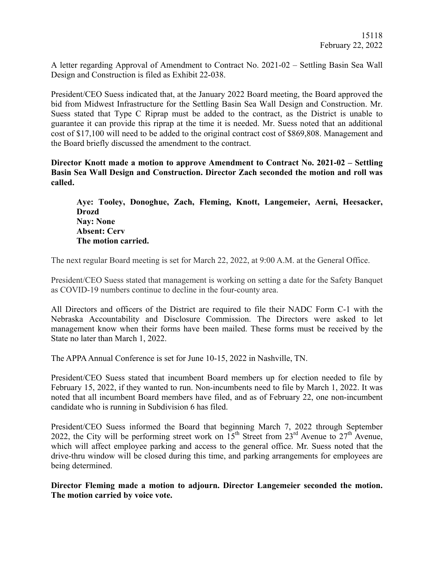A letter regarding Approval of Amendment to Contract No. 2021-02 – Settling Basin Sea Wall Design and Construction is filed as Exhibit 22-038.

President/CEO Suess indicated that, at the January 2022 Board meeting, the Board approved the bid from Midwest Infrastructure for the Settling Basin Sea Wall Design and Construction. Mr. Suess stated that Type C Riprap must be added to the contract, as the District is unable to guarantee it can provide this riprap at the time it is needed. Mr. Suess noted that an additional cost of \$17,100 will need to be added to the original contract cost of \$869,808. Management and the Board briefly discussed the amendment to the contract.

**Director Knott made a motion to approve Amendment to Contract No. 2021-02 – Settling Basin Sea Wall Design and Construction. Director Zach seconded the motion and roll was called.**

**Aye: Tooley, Donoghue, Zach, Fleming, Knott, Langemeier, Aerni, Heesacker, Drozd Nay: None Absent: Cerv The motion carried.** 

The next regular Board meeting is set for March 22, 2022, at 9:00 A.M. at the General Office.

President/CEO Suess stated that management is working on setting a date for the Safety Banquet as COVID-19 numbers continue to decline in the four-county area.

All Directors and officers of the District are required to file their NADC Form C-1 with the Nebraska Accountability and Disclosure Commission. The Directors were asked to let management know when their forms have been mailed. These forms must be received by the State no later than March 1, 2022.

The APPA Annual Conference is set for June 10-15, 2022 in Nashville, TN.

President/CEO Suess stated that incumbent Board members up for election needed to file by February 15, 2022, if they wanted to run. Non-incumbents need to file by March 1, 2022. It was noted that all incumbent Board members have filed, and as of February 22, one non-incumbent candidate who is running in Subdivision 6 has filed.

President/CEO Suess informed the Board that beginning March 7, 2022 through September 2022, the City will be performing street work on  $15^{th}$  Street from  $23^{rd}$  Avenue to  $27^{th}$  Avenue, which will affect employee parking and access to the general office. Mr. Suess noted that the drive-thru window will be closed during this time, and parking arrangements for employees are being determined.

**Director Fleming made a motion to adjourn. Director Langemeier seconded the motion. The motion carried by voice vote.**